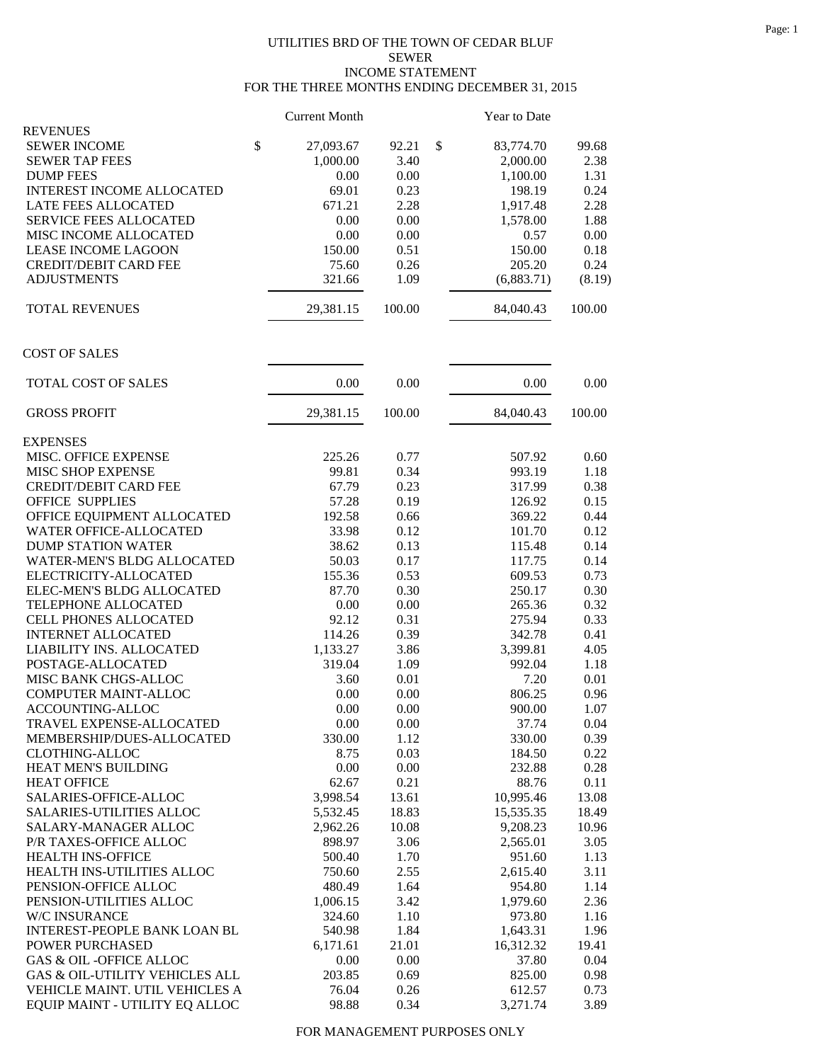## UTILITIES BRD OF THE TOWN OF CEDAR BLUF SEWER INCOME STATEMENT FOR THE THREE MONTHS ENDING DECEMBER 31, 2015

|                                                                  | <b>Current Month</b> |              | Year to Date       |              |
|------------------------------------------------------------------|----------------------|--------------|--------------------|--------------|
| <b>REVENUES</b>                                                  |                      |              |                    |              |
| <b>SEWER INCOME</b>                                              | \$<br>27,093.67      | 92.21        | \$<br>83,774.70    | 99.68        |
| <b>SEWER TAP FEES</b>                                            | 1,000.00             | 3.40         | 2,000.00           | 2.38         |
| <b>DUMP FEES</b>                                                 | 0.00                 | 0.00         | 1,100.00           | 1.31         |
| <b>INTEREST INCOME ALLOCATED</b>                                 | 69.01                | 0.23         | 198.19             | 0.24         |
| LATE FEES ALLOCATED                                              | 671.21               | 2.28         | 1,917.48           | 2.28         |
| <b>SERVICE FEES ALLOCATED</b>                                    | 0.00                 | 0.00         | 1,578.00           | 1.88         |
| MISC INCOME ALLOCATED                                            | 0.00                 | 0.00         | 0.57               | 0.00         |
| <b>LEASE INCOME LAGOON</b>                                       | 150.00               | 0.51         | 150.00             | 0.18         |
| <b>CREDIT/DEBIT CARD FEE</b>                                     | 75.60                | 0.26         | 205.20             | 0.24         |
| <b>ADJUSTMENTS</b>                                               | 321.66               | 1.09         | (6,883.71)         | (8.19)       |
| <b>TOTAL REVENUES</b>                                            | 29,381.15            | 100.00       | 84,040.43          | 100.00       |
| <b>COST OF SALES</b>                                             |                      |              |                    |              |
| TOTAL COST OF SALES                                              | 0.00                 | 0.00         | 0.00               | 0.00         |
| <b>GROSS PROFIT</b>                                              | 29,381.15            | 100.00       | 84,040.43          | 100.00       |
| <b>EXPENSES</b>                                                  |                      |              |                    |              |
| MISC. OFFICE EXPENSE                                             | 225.26               | 0.77         | 507.92             | 0.60         |
| MISC SHOP EXPENSE                                                | 99.81                | 0.34         | 993.19             | 1.18         |
| <b>CREDIT/DEBIT CARD FEE</b>                                     | 67.79                | 0.23         | 317.99             | 0.38         |
| <b>OFFICE SUPPLIES</b>                                           | 57.28                | 0.19         | 126.92             | 0.15         |
| OFFICE EQUIPMENT ALLOCATED                                       | 192.58               | 0.66         | 369.22             | 0.44         |
| WATER OFFICE-ALLOCATED                                           | 33.98                | 0.12         | 101.70             | 0.12         |
| <b>DUMP STATION WATER</b>                                        | 38.62                | 0.13         | 115.48             | 0.14         |
| WATER-MEN'S BLDG ALLOCATED                                       | 50.03                | 0.17         | 117.75             | 0.14         |
| ELECTRICITY-ALLOCATED                                            | 155.36               | 0.53         | 609.53             | 0.73         |
| ELEC-MEN'S BLDG ALLOCATED                                        | 87.70                | 0.30         | 250.17             | 0.30         |
| TELEPHONE ALLOCATED                                              | 0.00                 | 0.00         | 265.36             | 0.32         |
| <b>CELL PHONES ALLOCATED</b>                                     | 92.12                | 0.31         | 275.94             | 0.33         |
| <b>INTERNET ALLOCATED</b>                                        | 114.26               | 0.39         | 342.78             | 0.41         |
| LIABILITY INS. ALLOCATED                                         | 1,133.27             | 3.86         | 3,399.81           | 4.05         |
| POSTAGE-ALLOCATED                                                | 319.04               | 1.09         | 992.04             | 1.18         |
| MISC BANK CHGS-ALLOC                                             | 3.60                 | 0.01         | 7.20               | 0.01         |
| <b>COMPUTER MAINT-ALLOC</b>                                      | 0.00                 | 0.00         | 806.25             | 0.96         |
| ACCOUNTING-ALLOC                                                 | 0.00                 | 0.00         | 900.00             | 1.07         |
| TRAVEL EXPENSE-ALLOCATED                                         | 0.00                 | 0.00         | 37.74              | 0.04         |
| MEMBERSHIP/DUES-ALLOCATED                                        | 330.00               | 1.12         | 330.00             | 0.39         |
| <b>CLOTHING-ALLOC</b>                                            | 8.75                 | 0.03         | 184.50             | 0.22         |
| HEAT MEN'S BUILDING                                              | 0.00                 | 0.00         | 232.88             | 0.28         |
| <b>HEAT OFFICE</b>                                               | 62.67                | 0.21         | 88.76              | 0.11         |
| SALARIES-OFFICE-ALLOC                                            | 3,998.54             | 13.61        | 10,995.46          | 13.08        |
| SALARIES-UTILITIES ALLOC                                         | 5,532.45             | 18.83        | 15,535.35          | 18.49        |
| SALARY-MANAGER ALLOC                                             | 2,962.26             | 10.08        | 9,208.23           | 10.96        |
| P/R TAXES-OFFICE ALLOC                                           | 898.97               | 3.06         | 2,565.01           | 3.05         |
| <b>HEALTH INS-OFFICE</b>                                         | 500.40               |              |                    |              |
|                                                                  |                      | 1.70         | 951.60             | 1.13         |
| HEALTH INS-UTILITIES ALLOC<br>PENSION-OFFICE ALLOC               | 750.60<br>480.49     | 2.55         | 2,615.40           | 3.11         |
|                                                                  |                      | 1.64         | 954.80             | 1.14         |
| PENSION-UTILITIES ALLOC                                          | 1,006.15             | 3.42         | 1,979.60           | 2.36         |
| W/C INSURANCE                                                    | 324.60               | 1.10         | 973.80             | 1.16         |
| INTEREST-PEOPLE BANK LOAN BL                                     | 540.98               | 1.84         | 1,643.31           | 1.96         |
| POWER PURCHASED                                                  | 6,171.61             | 21.01        | 16,312.32          | 19.41        |
| <b>GAS &amp; OIL -OFFICE ALLOC</b>                               | 0.00                 | 0.00         | 37.80              | 0.04         |
| GAS & OIL-UTILITY VEHICLES ALL                                   | 203.85               | 0.69         | 825.00             | 0.98         |
| VEHICLE MAINT. UTIL VEHICLES A<br>EQUIP MAINT - UTILITY EQ ALLOC | 76.04<br>98.88       | 0.26<br>0.34 | 612.57<br>3,271.74 | 0.73<br>3.89 |